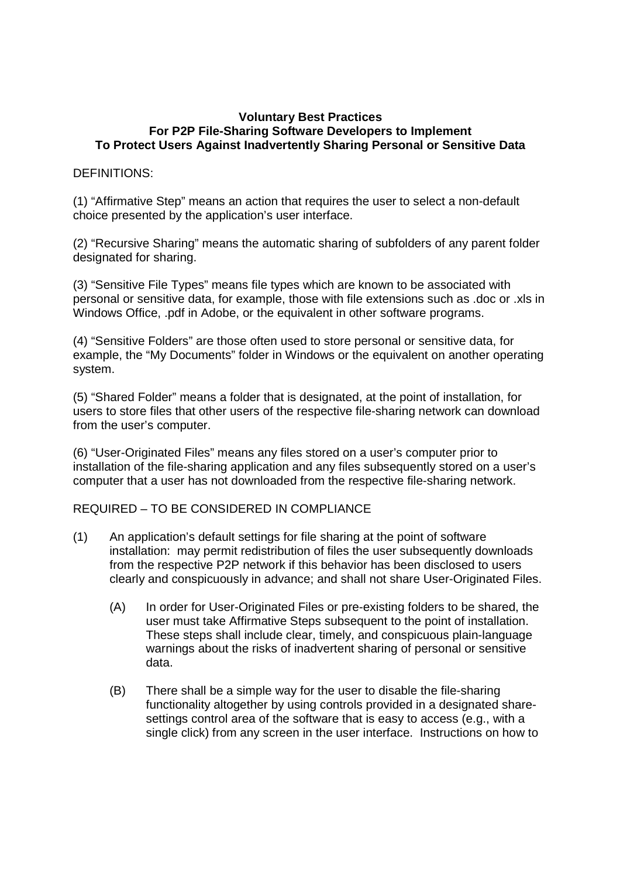## **Voluntary Best Practices For P2P File-Sharing Software Developers to Implement To Protect Users Against Inadvertently Sharing Personal or Sensitive Data**

## DEFINITIONS:

(1) "Affirmative Step" means an action that requires the user to select a non-default choice presented by the application's user interface.

(2) "Recursive Sharing" means the automatic sharing of subfolders of any parent folder designated for sharing.

(3) "Sensitive File Types" means file types which are known to be associated with personal or sensitive data, for example, those with file extensions such as .doc or .xls in Windows Office, .pdf in Adobe, or the equivalent in other software programs.

(4) "Sensitive Folders" are those often used to store personal or sensitive data, for example, the "My Documents" folder in Windows or the equivalent on another operating system.

(5) "Shared Folder" means a folder that is designated, at the point of installation, for users to store files that other users of the respective file-sharing network can download from the user's computer.

(6) "User-Originated Files" means any files stored on a user's computer prior to installation of the file-sharing application and any files subsequently stored on a user's computer that a user has not downloaded from the respective file-sharing network.

## REQUIRED – TO BE CONSIDERED IN COMPLIANCE

- (1) An application's default settings for file sharing at the point of software installation: may permit redistribution of files the user subsequently downloads from the respective P2P network if this behavior has been disclosed to users clearly and conspicuously in advance; and shall not share User-Originated Files.
	- (A) In order for User-Originated Files or pre-existing folders to be shared, the user must take Affirmative Steps subsequent to the point of installation. These steps shall include clear, timely, and conspicuous plain-language warnings about the risks of inadvertent sharing of personal or sensitive data.
	- (B) There shall be a simple way for the user to disable the file-sharing functionality altogether by using controls provided in a designated sharesettings control area of the software that is easy to access (e.g., with a single click) from any screen in the user interface. Instructions on how to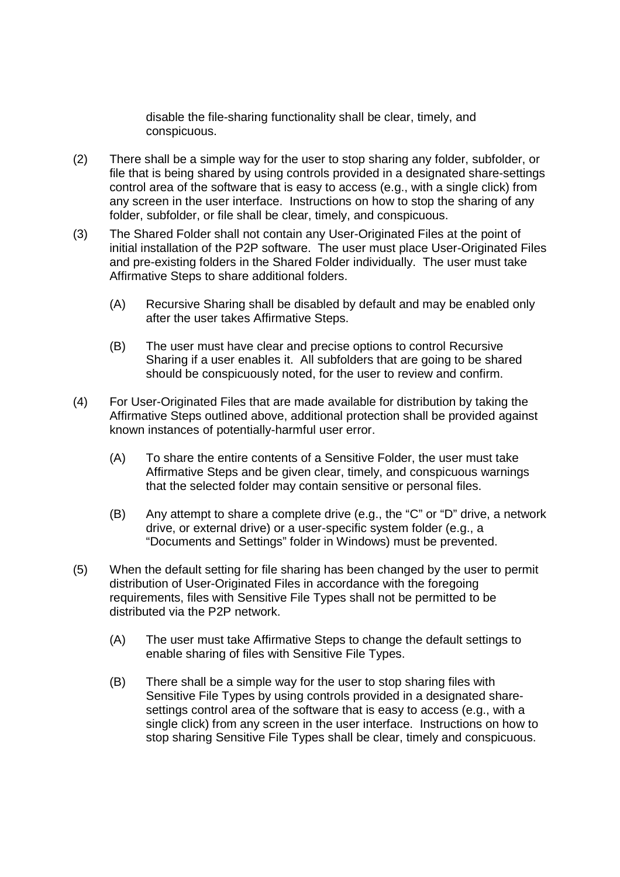disable the file-sharing functionality shall be clear, timely, and conspicuous.

- (2) There shall be a simple way for the user to stop sharing any folder, subfolder, or file that is being shared by using controls provided in a designated share-settings control area of the software that is easy to access (e.g., with a single click) from any screen in the user interface. Instructions on how to stop the sharing of any folder, subfolder, or file shall be clear, timely, and conspicuous.
- (3) The Shared Folder shall not contain any User-Originated Files at the point of initial installation of the P2P software. The user must place User-Originated Files and pre-existing folders in the Shared Folder individually. The user must take Affirmative Steps to share additional folders.
	- (A) Recursive Sharing shall be disabled by default and may be enabled only after the user takes Affirmative Steps.
	- (B) The user must have clear and precise options to control Recursive Sharing if a user enables it. All subfolders that are going to be shared should be conspicuously noted, for the user to review and confirm.
- (4) For User-Originated Files that are made available for distribution by taking the Affirmative Steps outlined above, additional protection shall be provided against known instances of potentially-harmful user error.
	- (A) To share the entire contents of a Sensitive Folder, the user must take Affirmative Steps and be given clear, timely, and conspicuous warnings that the selected folder may contain sensitive or personal files.
	- (B) Any attempt to share a complete drive (e.g., the "C" or "D" drive, a network drive, or external drive) or a user-specific system folder (e.g., a "Documents and Settings" folder in Windows) must be prevented.
- (5) When the default setting for file sharing has been changed by the user to permit distribution of User-Originated Files in accordance with the foregoing requirements, files with Sensitive File Types shall not be permitted to be distributed via the P2P network.
	- (A) The user must take Affirmative Steps to change the default settings to enable sharing of files with Sensitive File Types.
	- (B) There shall be a simple way for the user to stop sharing files with Sensitive File Types by using controls provided in a designated sharesettings control area of the software that is easy to access (e.g., with a single click) from any screen in the user interface. Instructions on how to stop sharing Sensitive File Types shall be clear, timely and conspicuous.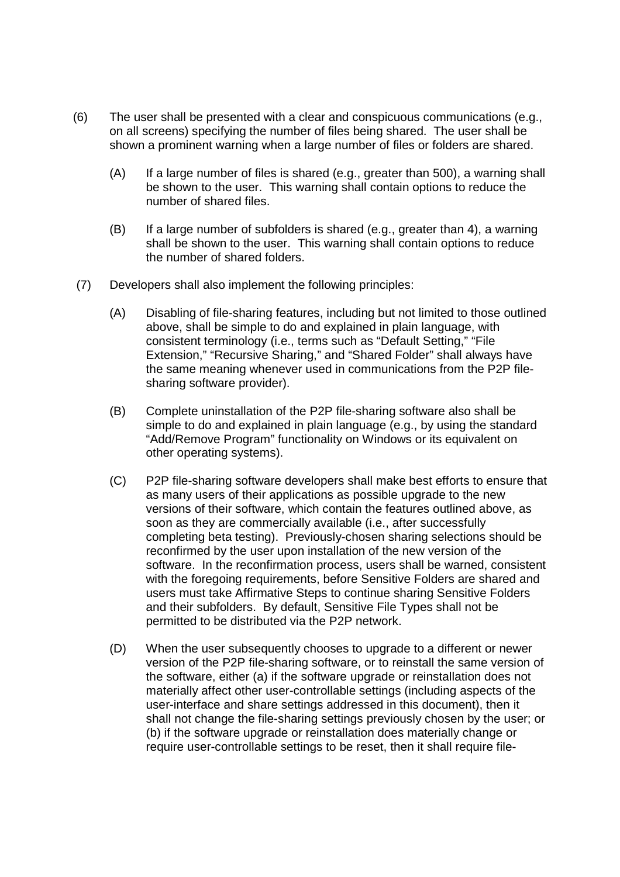- (6) The user shall be presented with a clear and conspicuous communications (e.g., on all screens) specifying the number of files being shared. The user shall be shown a prominent warning when a large number of files or folders are shared.
	- (A) If a large number of files is shared (e.g., greater than 500), a warning shall be shown to the user. This warning shall contain options to reduce the number of shared files.
	- (B) If a large number of subfolders is shared (e.g., greater than 4), a warning shall be shown to the user. This warning shall contain options to reduce the number of shared folders.
- (7) Developers shall also implement the following principles:
	- (A) Disabling of file-sharing features, including but not limited to those outlined above, shall be simple to do and explained in plain language, with consistent terminology (i.e., terms such as "Default Setting," "File Extension," "Recursive Sharing," and "Shared Folder" shall always have the same meaning whenever used in communications from the P2P filesharing software provider).
	- (B) Complete uninstallation of the P2P file-sharing software also shall be simple to do and explained in plain language (e.g., by using the standard "Add/Remove Program" functionality on Windows or its equivalent on other operating systems).
	- (C) P2P file-sharing software developers shall make best efforts to ensure that as many users of their applications as possible upgrade to the new versions of their software, which contain the features outlined above, as soon as they are commercially available (i.e., after successfully completing beta testing). Previously-chosen sharing selections should be reconfirmed by the user upon installation of the new version of the software. In the reconfirmation process, users shall be warned, consistent with the foregoing requirements, before Sensitive Folders are shared and users must take Affirmative Steps to continue sharing Sensitive Folders and their subfolders. By default, Sensitive File Types shall not be permitted to be distributed via the P2P network.
	- (D) When the user subsequently chooses to upgrade to a different or newer version of the P2P file-sharing software, or to reinstall the same version of the software, either (a) if the software upgrade or reinstallation does not materially affect other user-controllable settings (including aspects of the user-interface and share settings addressed in this document), then it shall not change the file-sharing settings previously chosen by the user; or (b) if the software upgrade or reinstallation does materially change or require user-controllable settings to be reset, then it shall require file-